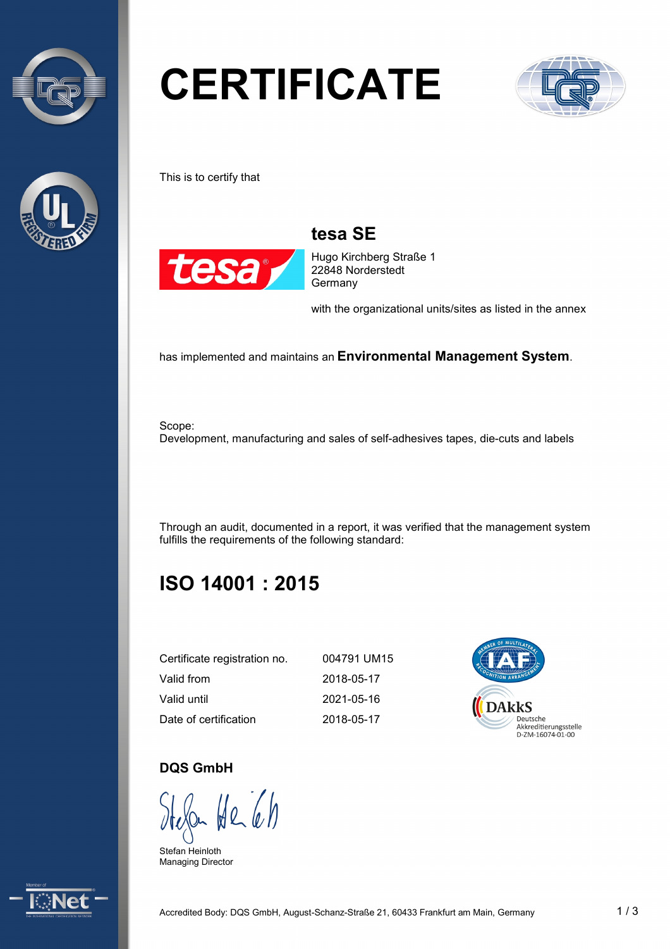



# **CERTIFICATE**



This is to certify that



**tesa SE** Hugo Kirchberg Straße 1 22848 Norderstedt

**Germany** 

with the organizational units/sites as listed in the annex

has implemented and maintains an **Environmental Management System**.

Scope: Development, manufacturing and sales of self-adhesives tapes, die-cuts and labels

Through an audit, documented in a report, it was verified that the management system fulfills the requirements of the following standard:

## **ISO 14001 : 2015**

| Certificate registration no. | 004791 UM15 |
|------------------------------|-------------|
| Valid from                   | 2018-05-17  |
| Valid until                  | 2021-05-16  |
| Date of certification        | 2018-05-17  |



#### **DQS GmbH**

 $He(b)$ 

Stefan Heinloth Managing Director

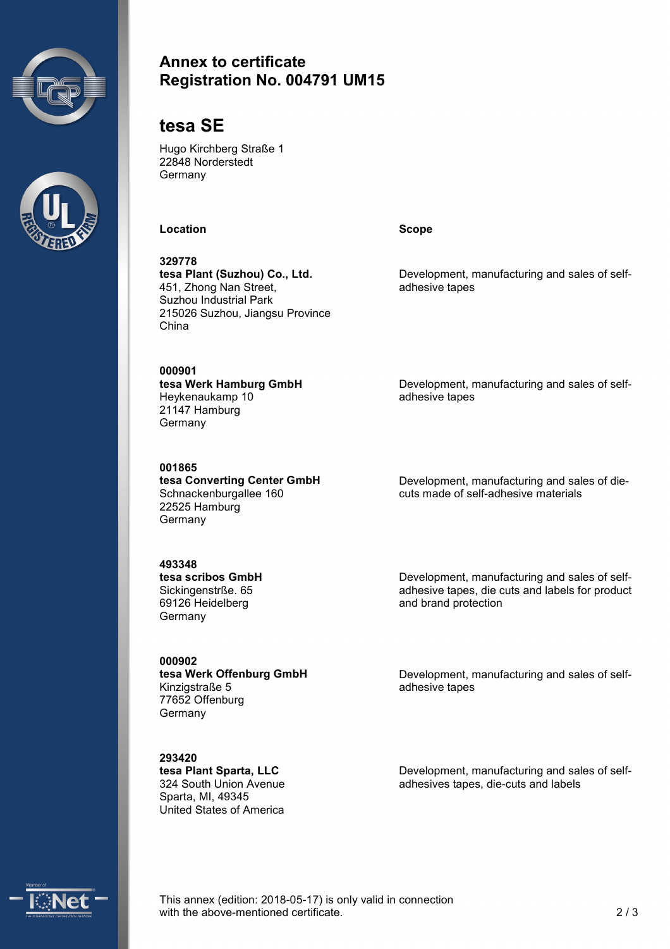



#### **Annex to certificate Registration No. 004791 UM15**

#### **tesa SE**

Hugo Kirchberg Straße 1 22848 Norderstedt **Germany** 

**Location Scope**

**329778 tesa Plant (Suzhou) Co., Ltd.** 451, Zhong Nan Street, Suzhou Industrial Park 215026 Suzhou, Jiangsu Province China

**000901 tesa Werk Hamburg GmbH** Heykenaukamp 10 21147 Hamburg **Germany** 

**001865 tesa Converting Center GmbH** Schnackenburgallee 160 22525 Hamburg Germany

**493348 tesa scribos GmbH** Sickingenstrße. 65 69126 Heidelberg Germany

**000902 tesa Werk Offenburg GmbH** Kinzigstraße 5 77652 Offenburg Germany

**293420 tesa Plant Sparta, LLC** 324 South Union Avenue Sparta, MI, 49345 United States of America

Development, manufacturing and sales of selfadhesive tapes

Development, manufacturing and sales of selfadhesive tapes

Development, manufacturing and sales of diecuts made of self-adhesive materials

Development, manufacturing and sales of selfadhesive tapes, die cuts and labels for product and brand protection

Development, manufacturing and sales of selfadhesive tapes

Development, manufacturing and sales of selfadhesives tapes, die-cuts and labels



This annex (edition: 2018-05-17) is only valid in connection with the above-mentioned certificate. 2/3